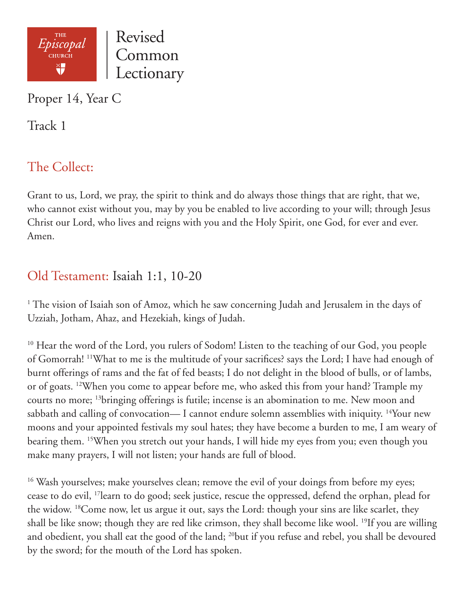

Proper 14, Year C

Track 1

# The Collect:

Grant to us, Lord, we pray, the spirit to think and do always those things that are right, that we, who cannot exist without you, may by you be enabled to live according to your will; through Jesus Christ our Lord, who lives and reigns with you and the Holy Spirit, one God, for ever and ever. Amen.

## Old Testament: Isaiah 1:1, 10-20

<sup>1</sup> The vision of Isaiah son of Amoz, which he saw concerning Judah and Jerusalem in the days of Uzziah, Jotham, Ahaz, and Hezekiah, kings of Judah.

<sup>10</sup> Hear the word of the Lord, you rulers of Sodom! Listen to the teaching of our God, you people of Gomorrah! 11What to me is the multitude of your sacrifices? says the Lord; I have had enough of burnt offerings of rams and the fat of fed beasts; I do not delight in the blood of bulls, or of lambs, or of goats. 12When you come to appear before me, who asked this from your hand? Trample my courts no more; 13bringing offerings is futile; incense is an abomination to me. New moon and sabbath and calling of convocation— I cannot endure solemn assemblies with iniquity. <sup>14</sup>Your new moons and your appointed festivals my soul hates; they have become a burden to me, I am weary of bearing them. 15When you stretch out your hands, I will hide my eyes from you; even though you make many prayers, I will not listen; your hands are full of blood.

<sup>16</sup> Wash yourselves; make yourselves clean; remove the evil of your doings from before my eyes; cease to do evil, 17learn to do good; seek justice, rescue the oppressed, defend the orphan, plead for the widow. 18Come now, let us argue it out, says the Lord: though your sins are like scarlet, they shall be like snow; though they are red like crimson, they shall become like wool. 19If you are willing and obedient, you shall eat the good of the land; <sup>20</sup>but if you refuse and rebel, you shall be devoured by the sword; for the mouth of the Lord has spoken.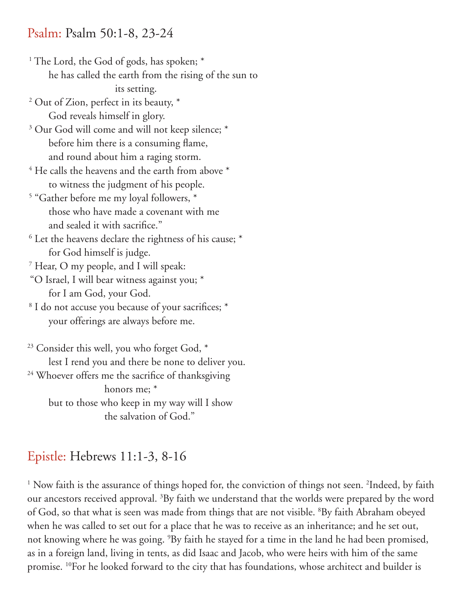#### Psalm: Psalm 50:1-8, 23-24

- <sup>1</sup> The Lord, the God of gods, has spoken; \* he has called the earth from the rising of the sun to its setting. 2 Out of Zion, perfect in its beauty, \*
	- God reveals himself in glory.
- <sup>3</sup> Our God will come and will not keep silence; \* before him there is a consuming flame, and round about him a raging storm.
- $4$  He calls the heavens and the earth from above  $*$ to witness the judgment of his people.
- 5 "Gather before me my loyal followers, \* those who have made a covenant with me and sealed it with sacrifice."
- <sup>6</sup> Let the heavens declare the rightness of his cause; \* for God himself is judge.
- 7 Hear, O my people, and I will speak:
- "O Israel, I will bear witness against you; \* for I am God, your God.
- <sup>8</sup> I do not accuse you because of your sacrifices; \* your offerings are always before me.

<sup>23</sup> Consider this well, you who forget God, \* lest I rend you and there be none to deliver you. <sup>24</sup> Whoever offers me the sacrifice of thanksgiving honors me; \* but to those who keep in my way will I show the salvation of God."

## Epistle: Hebrews 11:1-3, 8-16

<sup>1</sup> Now faith is the assurance of things hoped for, the conviction of things not seen. <sup>2</sup>Indeed, by faith our ancestors received approval. <sup>3</sup>By faith we understand that the worlds were prepared by the word of God, so that what is seen was made from things that are not visible. <sup>8</sup>By faith Abraham obeyed when he was called to set out for a place that he was to receive as an inheritance; and he set out, not knowing where he was going. 9 By faith he stayed for a time in the land he had been promised, as in a foreign land, living in tents, as did Isaac and Jacob, who were heirs with him of the same promise. 10For he looked forward to the city that has foundations, whose architect and builder is